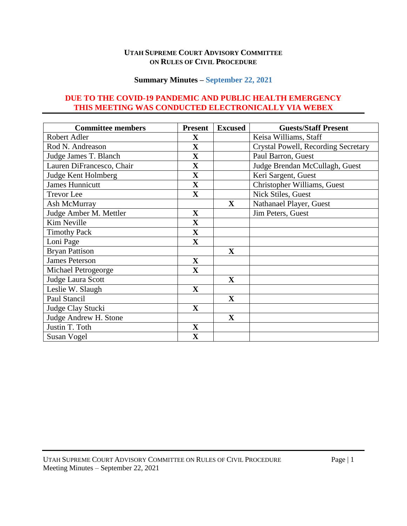### **UTAH SUPREME COURT ADVISORY COMMITTEE ON RULES OF CIVIL PROCEDURE**

## **Summary Minutes – September 22, 2021**

## **DUE TO THE COVID-19 PANDEMIC AND PUBLIC HEALTH EMERGENCY THIS MEETING WAS CONDUCTED ELECTRONICALLY VIA WEBEX**

| <b>Committee members</b>  | <b>Present</b> | <b>Excused</b> | <b>Guests/Staff Present</b>         |
|---------------------------|----------------|----------------|-------------------------------------|
| Robert Adler              | X              |                | Keisa Williams, Staff               |
| Rod N. Andreason          | $\mathbf X$    |                | Crystal Powell, Recording Secretary |
| Judge James T. Blanch     | $\mathbf X$    |                | Paul Barron, Guest                  |
| Lauren DiFrancesco, Chair | $\mathbf X$    |                | Judge Brendan McCullagh, Guest      |
| Judge Kent Holmberg       | $\mathbf X$    |                | Keri Sargent, Guest                 |
| <b>James Hunnicutt</b>    | $\mathbf X$    |                | Christopher Williams, Guest         |
| <b>Trevor</b> Lee         | $\mathbf{X}$   |                | Nick Stiles, Guest                  |
| Ash McMurray              |                | $\mathbf{X}$   | Nathanael Player, Guest             |
| Judge Amber M. Mettler    | $\mathbf X$    |                | Jim Peters, Guest                   |
| Kim Neville               | $\mathbf X$    |                |                                     |
| <b>Timothy Pack</b>       | $\mathbf X$    |                |                                     |
| Loni Page                 | $\mathbf{X}$   |                |                                     |
| <b>Bryan Pattison</b>     |                | $\mathbf X$    |                                     |
| <b>James Peterson</b>     | $\mathbf X$    |                |                                     |
| Michael Petrogeorge       | $\mathbf{X}$   |                |                                     |
| Judge Laura Scott         |                | $\mathbf{X}$   |                                     |
| Leslie W. Slaugh          | $\mathbf X$    |                |                                     |
| Paul Stancil              |                | $\mathbf{X}$   |                                     |
| Judge Clay Stucki         | $\mathbf X$    |                |                                     |
| Judge Andrew H. Stone     |                | $\mathbf{X}$   |                                     |
| Justin T. Toth            | $\mathbf{X}$   |                |                                     |
| Susan Vogel               | $\mathbf X$    |                |                                     |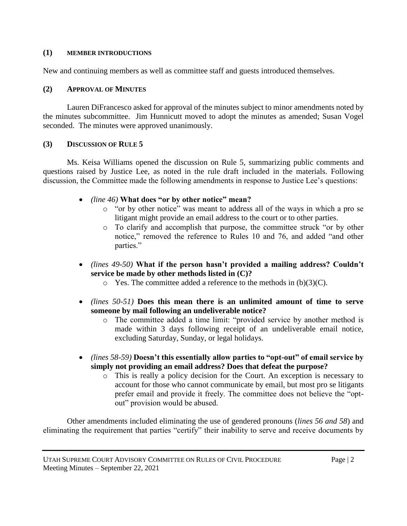#### **(1) MEMBER INTRODUCTIONS**

New and continuing members as well as committee staff and guests introduced themselves.

#### **(2) APPROVAL OF MINUTES**

Lauren DiFrancesco asked for approval of the minutes subject to minor amendments noted by the minutes subcommittee. Jim Hunnicutt moved to adopt the minutes as amended; Susan Vogel seconded. The minutes were approved unanimously.

#### **(3) DISCUSSION OF RULE 5**

Ms. Keisa Williams opened the discussion on Rule 5, summarizing public comments and questions raised by Justice Lee, as noted in the rule draft included in the materials. Following discussion, the Committee made the following amendments in response to Justice Lee's questions:

- *(line 46)* **What does "or by other notice" mean?**
	- o "or by other notice" was meant to address all of the ways in which a pro se litigant might provide an email address to the court or to other parties.
	- o To clarify and accomplish that purpose, the committee struck "or by other notice," removed the reference to Rules 10 and 76, and added "and other parties."
- *(lines 49-50)* **What if the person hasn't provided a mailing address? Couldn't service be made by other methods listed in (C)?**
	- $\circ$  Yes. The committee added a reference to the methods in (b)(3)(C).
- *(lines 50-51)* **Does this mean there is an unlimited amount of time to serve someone by mail following an undeliverable notice?**
	- o The committee added a time limit: "provided service by another method is made within 3 days following receipt of an undeliverable email notice, excluding Saturday, Sunday, or legal holidays.
- *(lines 58-59)* **Doesn't this essentially allow parties to "opt-out" of email service by simply not providing an email address? Does that defeat the purpose?**
	- o This is really a policy decision for the Court. An exception is necessary to account for those who cannot communicate by email, but most pro se litigants prefer email and provide it freely. The committee does not believe the "optout" provision would be abused.

Other amendments included eliminating the use of gendered pronouns (*lines 56 and 58*) and eliminating the requirement that parties "certify" their inability to serve and receive documents by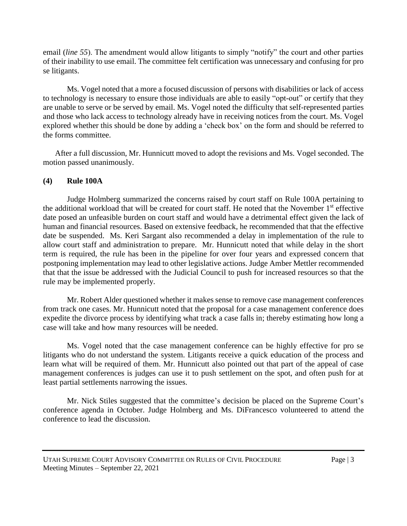email (*line 55*). The amendment would allow litigants to simply "notify" the court and other parties of their inability to use email. The committee felt certification was unnecessary and confusing for pro se litigants.

Ms. Vogel noted that a more a focused discussion of persons with disabilities or lack of access to technology is necessary to ensure those individuals are able to easily "opt-out" or certify that they are unable to serve or be served by email. Ms. Vogel noted the difficulty that self-represented parties and those who lack access to technology already have in receiving notices from the court. Ms. Vogel explored whether this should be done by adding a 'check box' on the form and should be referred to the forms committee.

After a full discussion, Mr. Hunnicutt moved to adopt the revisions and Ms. Vogel seconded. The motion passed unanimously.

## **(4) Rule 100A**

Judge Holmberg summarized the concerns raised by court staff on Rule 100A pertaining to the additional workload that will be created for court staff. He noted that the November 1<sup>st</sup> effective date posed an unfeasible burden on court staff and would have a detrimental effect given the lack of human and financial resources. Based on extensive feedback, he recommended that that the effective date be suspended. Ms. Keri Sargant also recommended a delay in implementation of the rule to allow court staff and administration to prepare. Mr. Hunnicutt noted that while delay in the short term is required, the rule has been in the pipeline for over four years and expressed concern that postponing implementation may lead to other legislative actions. Judge Amber Mettler recommended that that the issue be addressed with the Judicial Council to push for increased resources so that the rule may be implemented properly.

Mr. Robert Alder questioned whether it makes sense to remove case management conferences from track one cases. Mr. Hunnicutt noted that the proposal for a case management conference does expedite the divorce process by identifying what track a case falls in; thereby estimating how long a case will take and how many resources will be needed.

Ms. Vogel noted that the case management conference can be highly effective for pro se litigants who do not understand the system. Litigants receive a quick education of the process and learn what will be required of them. Mr. Hunnicutt also pointed out that part of the appeal of case management conferences is judges can use it to push settlement on the spot, and often push for at least partial settlements narrowing the issues.

Mr. Nick Stiles suggested that the committee's decision be placed on the Supreme Court's conference agenda in October. Judge Holmberg and Ms. DiFrancesco volunteered to attend the conference to lead the discussion.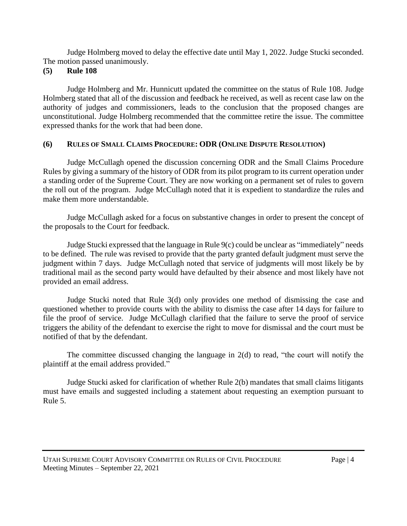Judge Holmberg moved to delay the effective date until May 1, 2022. Judge Stucki seconded. The motion passed unanimously.

## **(5) Rule 108**

Judge Holmberg and Mr. Hunnicutt updated the committee on the status of Rule 108. Judge Holmberg stated that all of the discussion and feedback he received, as well as recent case law on the authority of judges and commissioners, leads to the conclusion that the proposed changes are unconstitutional. Judge Holmberg recommended that the committee retire the issue. The committee expressed thanks for the work that had been done.

# **(6) RULES OF SMALL CLAIMS PROCEDURE: ODR (ONLINE DISPUTE RESOLUTION)**

Judge McCullagh opened the discussion concerning ODR and the Small Claims Procedure Rules by giving a summary of the history of ODR from its pilot program to its current operation under a standing order of the Supreme Court. They are now working on a permanent set of rules to govern the roll out of the program. Judge McCullagh noted that it is expedient to standardize the rules and make them more understandable.

Judge McCullagh asked for a focus on substantive changes in order to present the concept of the proposals to the Court for feedback.

Judge Stucki expressed that the language in Rule 9(c) could be unclear as "immediately" needs to be defined. The rule was revised to provide that the party granted default judgment must serve the judgment within 7 days. Judge McCullagh noted that service of judgments will most likely be by traditional mail as the second party would have defaulted by their absence and most likely have not provided an email address.

Judge Stucki noted that Rule 3(d) only provides one method of dismissing the case and questioned whether to provide courts with the ability to dismiss the case after 14 days for failure to file the proof of service. Judge McCullagh clarified that the failure to serve the proof of service triggers the ability of the defendant to exercise the right to move for dismissal and the court must be notified of that by the defendant.

The committee discussed changing the language in 2(d) to read, "the court will notify the plaintiff at the email address provided."

Judge Stucki asked for clarification of whether Rule 2(b) mandates that small claims litigants must have emails and suggested including a statement about requesting an exemption pursuant to Rule 5.